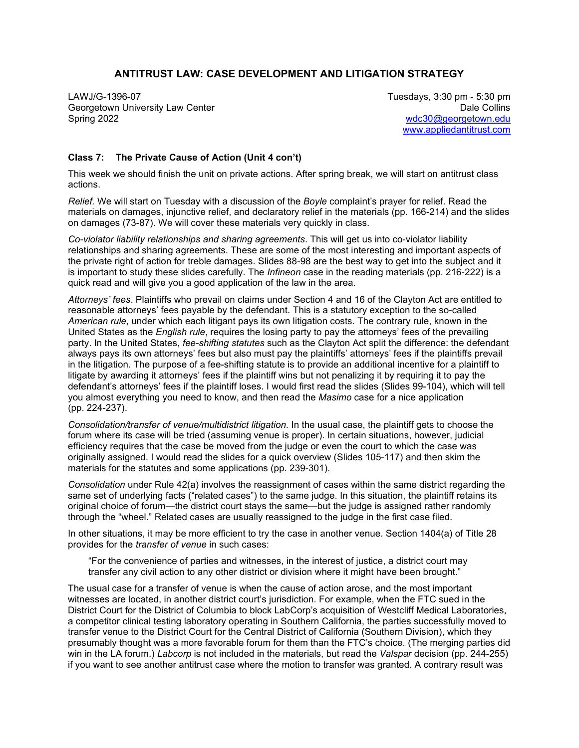## **ANTITRUST LAW: CASE DEVELOPMENT AND LITIGATION STRATEGY**

LAWJ/G-1396-07 Tuesdays, 3:30 pm - 5:30 pm Georgetown University Law Center **Data Collins** Content of Collins Collins Collins Collins Collins Spring 2022 [wdc30@georgetown.edu](mailto:wdc30@georgetown.edu) 

[www.appliedantitrust.com](http://www.appliedantitrust.com/)

## **Class 7: The Private Cause of Action (Unit 4 con't)**

This week we should finish the unit on private actions. After spring break, we will start on antitrust class actions.

*Relief.* We will start on Tuesday with a discussion of the *Boyle* complaint's prayer for relief. Read the materials on damages, injunctive relief, and declaratory relief in the materials (pp. 166-214) and the slides on damages (73-87). We will cover these materials very quickly in class.

*Co-violator liability relationships and sharing agreements*. This will get us into co-violator liability relationships and sharing agreements. These are some of the most interesting and important aspects of the private right of action for treble damages. Slides 88-98 are the best way to get into the subject and it is important to study these slides carefully. The *Infineon* case in the reading materials (pp. 216-222) is a quick read and will give you a good application of the law in the area.

*Attorneys' fees*. Plaintiffs who prevail on claims under Section 4 and 16 of the Clayton Act are entitled to reasonable attorneys' fees payable by the defendant. This is a statutory exception to the so-called *American rule*, under which each litigant pays its own litigation costs. The contrary rule, known in the United States as the *English rule*, requires the losing party to pay the attorneys' fees of the prevailing party. In the United States, *fee-shifting statutes* such as the Clayton Act split the difference: the defendant always pays its own attorneys' fees but also must pay the plaintiffs' attorneys' fees if the plaintiffs prevail in the litigation. The purpose of a fee-shifting statute is to provide an additional incentive for a plaintiff to litigate by awarding it attorneys' fees if the plaintiff wins but not penalizing it by requiring it to pay the defendant's attorneys' fees if the plaintiff loses. I would first read the slides (Slides 99-104), which will tell you almost everything you need to know, and then read the *Masimo* case for a nice application (pp. 224-237).

*Consolidation/transfer of venue/multidistrict litigation*. In the usual case, the plaintiff gets to choose the forum where its case will be tried (assuming venue is proper). In certain situations, however, judicial efficiency requires that the case be moved from the judge or even the court to which the case was originally assigned. I would read the slides for a quick overview (Slides 105-117) and then skim the materials for the statutes and some applications (pp. 239-301).

*Consolidation* under Rule 42(a) involves the reassignment of cases within the same district regarding the same set of underlying facts ("related cases") to the same judge. In this situation, the plaintiff retains its original choice of forum—the district court stays the same—but the judge is assigned rather randomly through the "wheel." Related cases are usually reassigned to the judge in the first case filed.

In other situations, it may be more efficient to try the case in another venue. Section 1404(a) of Title 28 provides for the *transfer of venue* in such cases:

"For the convenience of parties and witnesses, in the interest of justice, a district court may transfer any civil action to any other district or division where it might have been brought."

The usual case for a transfer of venue is when the cause of action arose, and the most important witnesses are located, in another district court's jurisdiction. For example, when the FTC sued in the District Court for the District of Columbia to block LabCorp's acquisition of Westcliff Medical Laboratories, a competitor clinical testing laboratory operating in Southern California, the parties successfully moved to transfer venue to the District Court for the Central District of California (Southern Division), which they presumably thought was a more favorable forum for them than the FTC's choice. (The merging parties did win in the LA forum.) *Labcorp* is not included in the materials, but read the *Valspar* decision (pp. 244-255) if you want to see another antitrust case where the motion to transfer was granted. A contrary result was